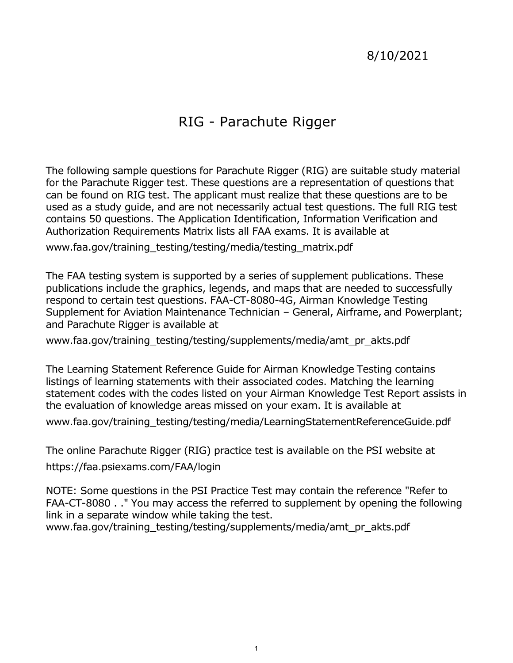# 8/10/2021

# RIG - Parachute Rigger

 for the Parachute Rigger test. These questions are a representation of questions that can be found on RIG test. The applicant must realize that these questions are to be used as a study guide, and are not necessarily actual test questions. The full RIG test The following sample questions for Parachute Rigger (RIG) are suitable study material contains 50 questions. The Application Identification, Information Verification and Authorization Requirements Matrix lists all FAA exams. It is available at

[www.faa.gov/training\\_testing/testing/media/testing\\_matrix.pdf](www.faa.gov/training_testing/testing/media/testing_matrix.pdf)

 The FAA testing system is supported by a series of supplement publications. These respond to certain test questions. FAA-CT-8080-4G, Airman Knowledge Testing publications include the graphics, legends, and maps that are needed to successfully Supplement for Aviation Maintenance Technician – General, Airframe, and Powerplant; and Parachute Rigger is available at

www.faa.gov/training testing/testing/supplements/media/amt pr akts.pdf

 The Learning Statement Reference Guide for Airman Knowledge Testing contains listings of learning statements with their associated codes. Matching the learning statement codes with the codes listed on your Airman Knowledge Test Report assists in the evaluation of knowledge areas missed on your exam. It is available at

[www.faa.gov/training\\_testing/testing/media/LearningStatementReferenceGuide.pdf](www.faa.gov/training_testing/testing/media/LearningStatementReferenceGuide.pdf)

 The online Parachute Rigger (RIG) practice test is available on the PSI website at <https://faa.psiexams.com/FAA/login>

 NOTE: Some questions in the PSI Practice Test may contain the reference "Refer to FAA-CT-8080 . ." You may access the referred to supplement by opening the following link in a separate window while taking the test.

[www.faa.gov/training\\_testing/testing/supplements/media/amt\\_pr\\_akts.pdf](www.faa.gov/training_testing/testing/supplements/media/amt_pr_akts.pdf)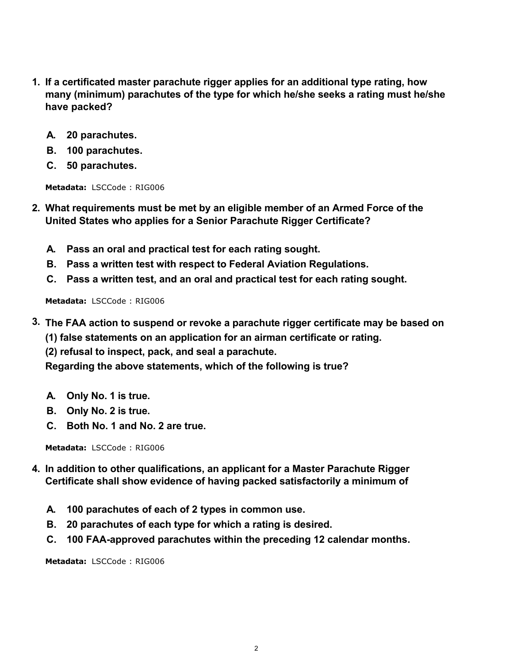- **1. If a certificated master parachute rigger applies for an additional type rating, how many (minimum) parachutes of the type for which he/she seeks a rating must he/she have packed?**
	- **A. 20 parachutes.**
	- **B. 100 parachutes.**
	- **C. 50 parachutes.**

- **2. What requirements must be met by an eligible member of an Armed Force of the United States who applies for a Senior Parachute Rigger Certificate?**
	- **A. Pass an oral and practical test for each rating sought.**
	- **B. Pass a written test with respect to Federal Aviation Regulations.**
	- **C. Pass a written test, and an oral and practical test for each rating sought.**

**Metadata:** LSCCode : RIG006

- **3. The FAA action to suspend or revoke a parachute rigger certificate may be based on**
	- **(1) false statements on an application for an airman certificate or rating.**
	- **(2) refusal to inspect, pack, and seal a parachute.**

**Regarding the above statements, which of the following is true?**

- **A. Only No. 1 is true.**
- **B. Only No. 2 is true.**
- **C. Both No. 1 and No. 2 are true.**

**Metadata:** LSCCode : RIG006

- **4. In addition to other qualifications, an applicant for a Master Parachute Rigger Certificate shall show evidence of having packed satisfactorily a minimum of**
	- **A. 100 parachutes of each of 2 types in common use.**
	- **B. 20 parachutes of each type for which a rating is desired.**
	- **C. 100 FAA-approved parachutes within the preceding 12 calendar months.**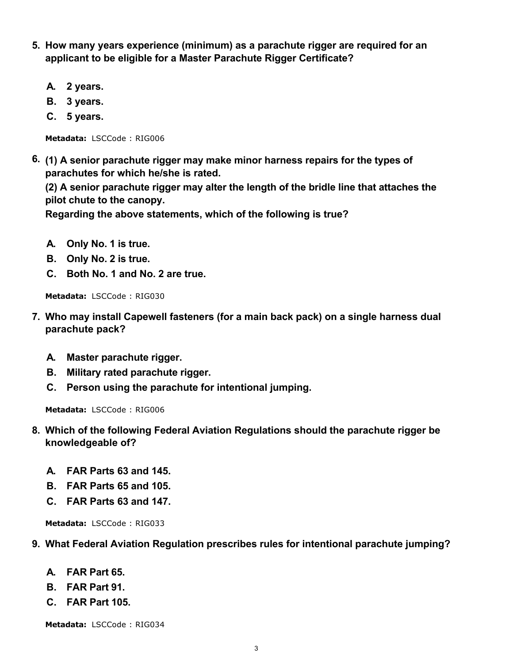- **5. How many years experience (minimum) as a parachute rigger are required for an applicant to be eligible for a Master Parachute Rigger Certificate?**
	- **A. 2 years.**
	- **B. 3 years.**
	- **C. 5 years.**

**6. (1) A senior parachute rigger may make minor harness repairs for the types of parachutes for which he/she is rated.** 

**(2) A senior parachute rigger may alter the length of the bridle line that attaches the pilot chute to the canopy.** 

**Regarding the above statements, which of the following is true?**

- **A. Only No. 1 is true.**
- **B. Only No. 2 is true.**
- **C. Both No. 1 and No. 2 are true.**

**Metadata:** LSCCode : RIG030

- **7. Who may install Capewell fasteners (for a main back pack) on a single harness dual parachute pack?**
	- **A. Master parachute rigger.**
	- **B. Military rated parachute rigger.**
	- **C. Person using the parachute for intentional jumping.**

**Metadata:** LSCCode : RIG006

- **8. Which of the following Federal Aviation Regulations should the parachute rigger be knowledgeable of?**
	- **A. FAR Parts 63 and 145.**
	- **B. FAR Parts 65 and 105.**
	- **C. FAR Parts 63 and 147.**

**Metadata:** LSCCode : RIG033

### **9. What Federal Aviation Regulation prescribes rules for intentional parachute jumping?**

- **A. FAR Part 65.**
- **B. FAR Part 91.**
- **C. FAR Part 105.**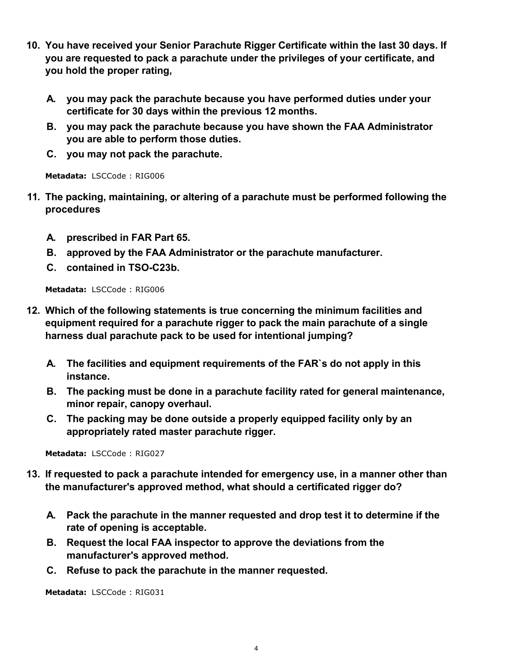- **10. You have received your Senior Parachute Rigger Certificate within the last 30 days. If you are requested to pack a parachute under the privileges of your certificate, and you hold the proper rating,**
	- **A. you may pack the parachute because you have performed duties under your certificate for 30 days within the previous 12 months.**
	- **B. you may pack the parachute because you have shown the FAA Administrator you are able to perform those duties.**
	- **C. you may not pack the parachute.**

- **11. The packing, maintaining, or altering of a parachute must be performed following the procedures**
	- **A. prescribed in FAR Part 65.**
	- **B. approved by the FAA Administrator or the parachute manufacturer.**
	- **C. contained in TSO-C23b.**

**Metadata:** LSCCode : RIG006

- **12. Which of the following statements is true concerning the minimum facilities and equipment required for a parachute rigger to pack the main parachute of a single harness dual parachute pack to be used for intentional jumping?**
	- **A. The facilities and equipment requirements of the FAR`s do not apply in this instance.**
	- **B. The packing must be done in a parachute facility rated for general maintenance, minor repair, canopy overhaul.**
	- **C. The packing may be done outside a properly equipped facility only by an appropriately rated master parachute rigger.**

**Metadata:** LSCCode : RIG027

- **13. If requested to pack a parachute intended for emergency use, in a manner other than the manufacturer's approved method, what should a certificated rigger do?**
	- **A. Pack the parachute in the manner requested and drop test it to determine if the rate of opening is acceptable.**
	- **B. Request the local FAA inspector to approve the deviations from the manufacturer's approved method.**
	- **C. Refuse to pack the parachute in the manner requested.**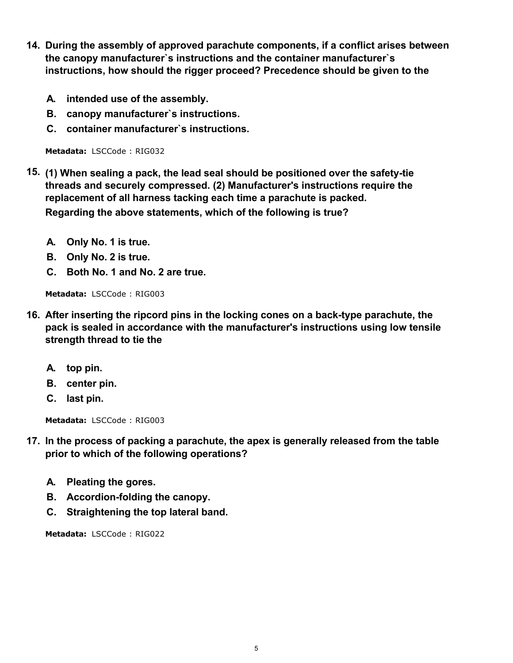- **14. During the assembly of approved parachute components, if a conflict arises between the canopy manufacturer`s instructions and the container manufacturer`s instructions, how should the rigger proceed? Precedence should be given to the**
	- **A. intended use of the assembly.**
	- **B. canopy manufacturer`s instructions.**
	- **C. container manufacturer`s instructions.**

- **15. (1) When sealing a pack, the lead seal should be positioned over the safety-tie threads and securely compressed. (2) Manufacturer's instructions require the replacement of all harness tacking each time a parachute is packed. Regarding the above statements, which of the following is true?**
	- **A. Only No. 1 is true.**
	- **B. Only No. 2 is true.**
	- **C. Both No. 1 and No. 2 are true.**

**Metadata:** LSCCode : RIG003

- **16. After inserting the ripcord pins in the locking cones on a back-type parachute, the pack is sealed in accordance with the manufacturer's instructions using low tensile strength thread to tie the**
	- **A. top pin.**
	- **B. center pin.**
	- **C. last pin.**

**Metadata:** LSCCode : RIG003

- **17. In the process of packing a parachute, the apex is generally released from the table prior to which of the following operations?**
	- **A. Pleating the gores.**
	- **B. Accordion-folding the canopy.**
	- **C. Straightening the top lateral band.**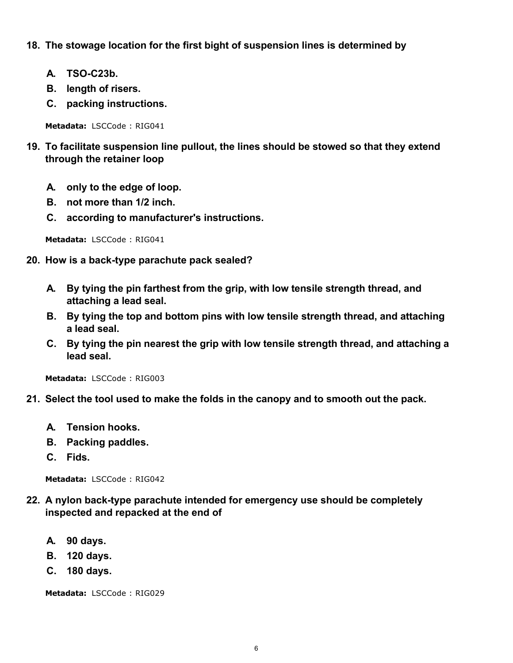## **18. The stowage location for the first bight of suspension lines is determined by**

- **A. TSO-C23b.**
- **B. length of risers.**
- **C. packing instructions.**

**Metadata:** LSCCode : RIG041

- **19. To facilitate suspension line pullout, the lines should be stowed so that they extend through the retainer loop**
	- **A. only to the edge of loop.**
	- **B. not more than 1/2 inch.**
	- **C. according to manufacturer's instructions.**

**Metadata:** LSCCode : RIG041

- **20. How is a back-type parachute pack sealed?**
	- **A. By tying the pin farthest from the grip, with low tensile strength thread, and attaching a lead seal.**
	- **B. By tying the top and bottom pins with low tensile strength thread, and attaching a lead seal.**
	- **C. By tying the pin nearest the grip with low tensile strength thread, and attaching a lead seal.**

**Metadata:** LSCCode : RIG003

- **21. Select the tool used to make the folds in the canopy and to smooth out the pack.**
	- **A. Tension hooks.**
	- **B. Packing paddles.**
	- **C. Fids.**

**Metadata:** LSCCode : RIG042

- **22. A nylon back-type parachute intended for emergency use should be completely inspected and repacked at the end of**
	- **A. 90 days.**
	- **B. 120 days.**
	- **C. 180 days.**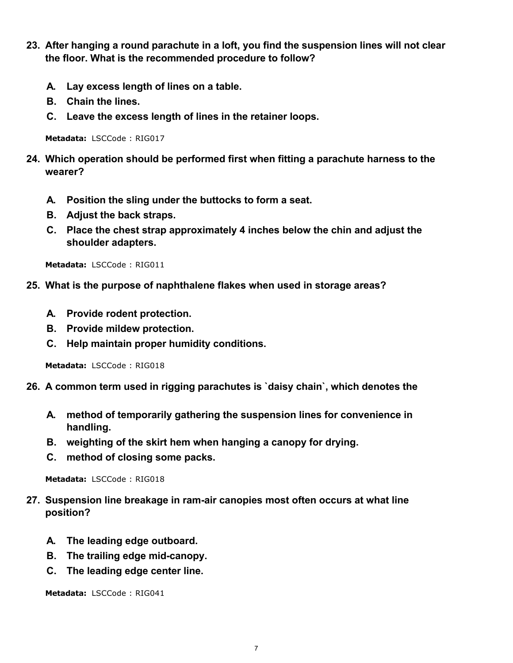- **23. After hanging a round parachute in a loft, you find the suspension lines will not clear the floor. What is the recommended procedure to follow?**
	- **A. Lay excess length of lines on a table.**
	- **B. Chain the lines.**
	- **C. Leave the excess length of lines in the retainer loops.**

- **24. Which operation should be performed first when fitting a parachute harness to the wearer?**
	- **A. Position the sling under the buttocks to form a seat.**
	- **B. Adjust the back straps.**
	- **C. Place the chest strap approximately 4 inches below the chin and adjust the shoulder adapters.**

**Metadata:** LSCCode : RIG011

- **25. What is the purpose of naphthalene flakes when used in storage areas?**
	- **A. Provide rodent protection.**
	- **B. Provide mildew protection.**
	- **C. Help maintain proper humidity conditions.**

**Metadata:** LSCCode : RIG018

- **26. A common term used in rigging parachutes is `daisy chain`, which denotes the**
	- **A. method of temporarily gathering the suspension lines for convenience in handling.**
	- **B. weighting of the skirt hem when hanging a canopy for drying.**
	- **C. method of closing some packs.**

**Metadata:** LSCCode : RIG018

- **27. Suspension line breakage in ram-air canopies most often occurs at what line position?**
	- **A. The leading edge outboard.**
	- **B. The trailing edge mid-canopy.**
	- **C. The leading edge center line.**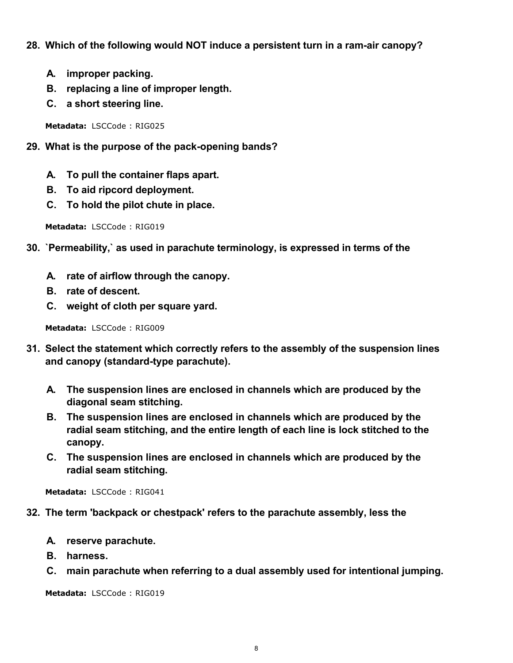## **28. Which of the following would NOT induce a persistent turn in a ram-air canopy?**

- **A. improper packing.**
- **B. replacing a line of improper length.**
- **C. a short steering line.**

**Metadata:** LSCCode : RIG025

- **29. What is the purpose of the pack-opening bands?**
	- **A. To pull the container flaps apart.**
	- **B. To aid ripcord deployment.**
	- **C. To hold the pilot chute in place.**

**Metadata:** LSCCode : RIG019

- **30. `Permeability,` as used in parachute terminology, is expressed in terms of the**
	- **A. rate of airflow through the canopy.**
	- **B. rate of descent.**
	- **C. weight of cloth per square yard.**

**Metadata:** LSCCode : RIG009

- **31. Select the statement which correctly refers to the assembly of the suspension lines and canopy (standard-type parachute).**
	- **A. The suspension lines are enclosed in channels which are produced by the diagonal seam stitching.**
	- **B. The suspension lines are enclosed in channels which are produced by the radial seam stitching, and the entire length of each line is lock stitched to the canopy.**
	- **C. The suspension lines are enclosed in channels which are produced by the radial seam stitching.**

**Metadata:** LSCCode : RIG041

- **32. The term 'backpack or chestpack' refers to the parachute assembly, less the**
	- **A. reserve parachute.**
	- **B. harness.**
	- **C. main parachute when referring to a dual assembly used for intentional jumping.**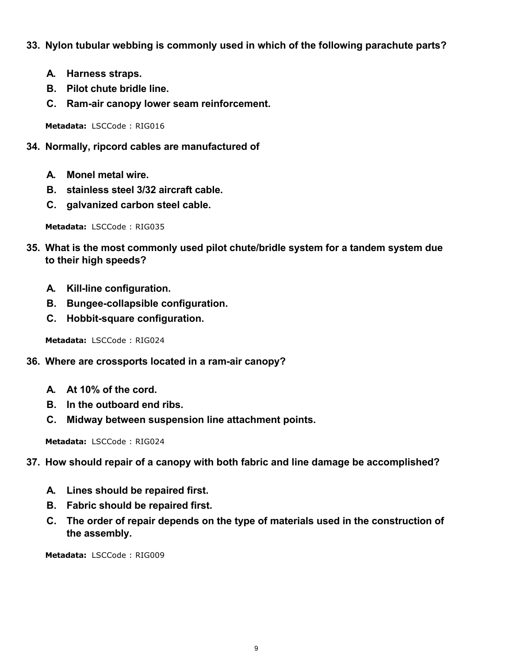- **33. Nylon tubular webbing is commonly used in which of the following parachute parts?**
	- **A. Harness straps.**
	- **B. Pilot chute bridle line.**
	- **C. Ram-air canopy lower seam reinforcement.**

- **34. Normally, ripcord cables are manufactured of**
	- **A. Monel metal wire.**
	- **B. stainless steel 3/32 aircraft cable.**
	- **C. galvanized carbon steel cable.**

**Metadata:** LSCCode : RIG035

- **35. What is the most commonly used pilot chute/bridle system for a tandem system due to their high speeds?**
	- **A. Kill-line configuration.**
	- **B. Bungee-collapsible configuration.**
	- **C. Hobbit-square configuration.**

**Metadata:** LSCCode : RIG024

- **36. Where are crossports located in a ram-air canopy?**
	- **A. At 10% of the cord.**
	- **B. In the outboard end ribs.**
	- **C. Midway between suspension line attachment points.**

**Metadata:** LSCCode : RIG024

### **37. How should repair of a canopy with both fabric and line damage be accomplished?**

- **A. Lines should be repaired first.**
- **B. Fabric should be repaired first.**
- **C. The order of repair depends on the type of materials used in the construction of the assembly.**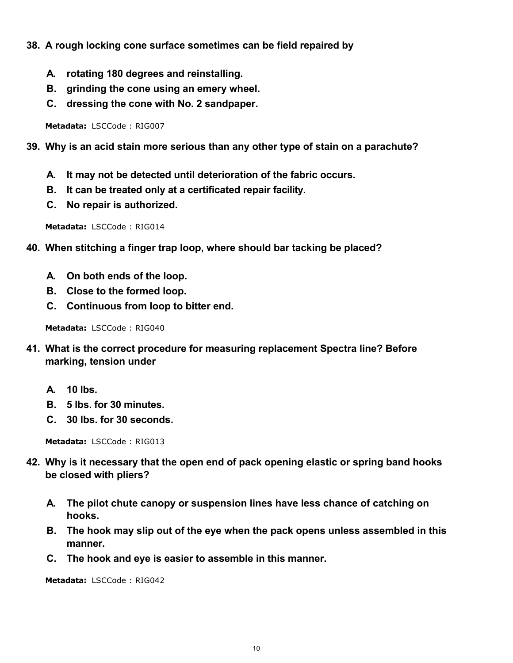- **38. A rough locking cone surface sometimes can be field repaired by**
	- **A. rotating 180 degrees and reinstalling.**
	- **B. grinding the cone using an emery wheel.**
	- **C. dressing the cone with No. 2 sandpaper.**

- **39. Why is an acid stain more serious than any other type of stain on a parachute?**
	- **A. It may not be detected until deterioration of the fabric occurs.**
	- **B. It can be treated only at a certificated repair facility.**
	- **C. No repair is authorized.**

**Metadata:** LSCCode : RIG014

- **40. When stitching a finger trap loop, where should bar tacking be placed?**
	- **A. On both ends of the loop.**
	- **B. Close to the formed loop.**
	- **C. Continuous from loop to bitter end.**

**Metadata:** LSCCode : RIG040

- **41. What is the correct procedure for measuring replacement Spectra line? Before marking, tension under**
	- **A. 10 lbs.**
	- **B. 5 lbs. for 30 minutes.**
	- **C. 30 lbs. for 30 seconds.**

**Metadata:** LSCCode : RIG013

- **42. Why is it necessary that the open end of pack opening elastic or spring band hooks be closed with pliers?**
	- **A. The pilot chute canopy or suspension lines have less chance of catching on hooks.**
	- **B. The hook may slip out of the eye when the pack opens unless assembled in this manner.**
	- **C. The hook and eye is easier to assemble in this manner.**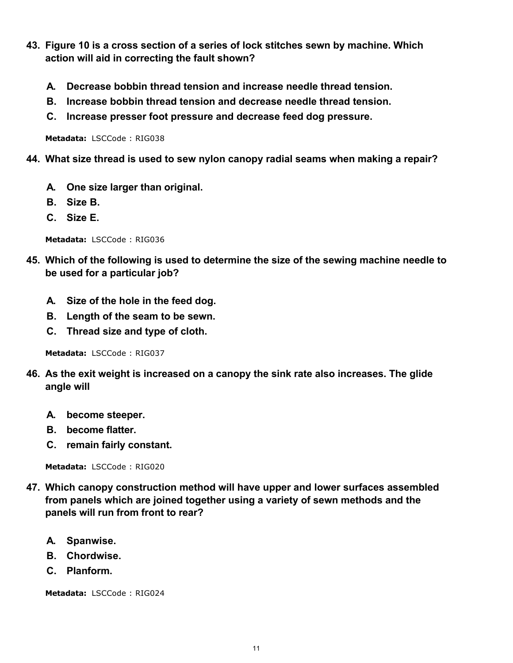- **43. Figure 10 is a cross section of a series of lock stitches sewn by machine. Which action will aid in correcting the fault shown?**
	- **A. Decrease bobbin thread tension and increase needle thread tension.**
	- **B. Increase bobbin thread tension and decrease needle thread tension.**
	- **C. Increase presser foot pressure and decrease feed dog pressure.**

- **44. What size thread is used to sew nylon canopy radial seams when making a repair?**
	- **A. One size larger than original.**
	- **B. Size B.**
	- **C. Size E.**

**Metadata:** LSCCode : RIG036

- **45. Which of the following is used to determine the size of the sewing machine needle to be used for a particular job?**
	- **A. Size of the hole in the feed dog.**
	- **B. Length of the seam to be sewn.**
	- **C. Thread size and type of cloth.**

**Metadata:** LSCCode : RIG037

- **46. As the exit weight is increased on a canopy the sink rate also increases. The glide angle will**
	- **A. become steeper.**
	- **B. become flatter.**
	- **C. remain fairly constant.**

**Metadata:** LSCCode : RIG020

- **47. Which canopy construction method will have upper and lower surfaces assembled from panels which are joined together using a variety of sewn methods and the panels will run from front to rear?**
	- **A. Spanwise.**
	- **B. Chordwise.**
	- **C. Planform.**